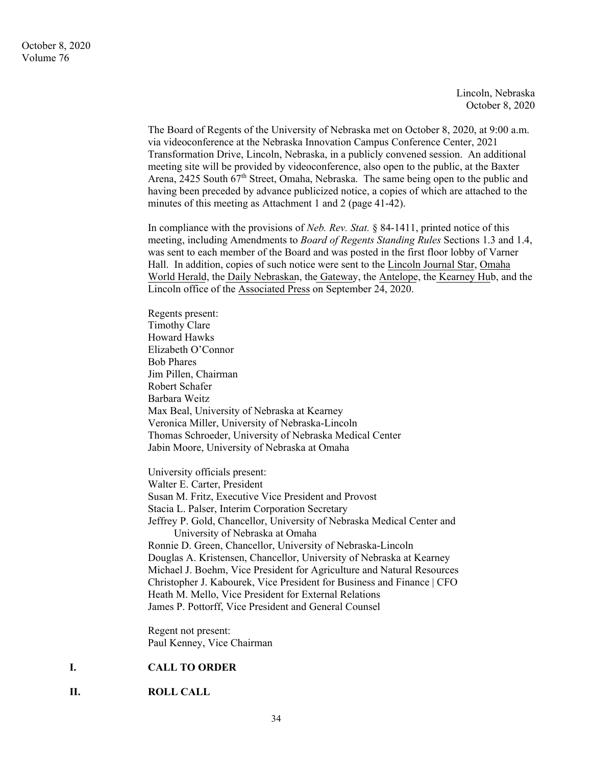Lincoln, Nebraska October 8, 2020

The Board of Regents of the University of Nebraska met on October 8, 2020, at 9:00 a.m. via videoconference at the Nebraska Innovation Campus Conference Center, 2021 Transformation Drive, Lincoln, Nebraska, in a publicly convened session. An additional meeting site will be provided by videoconference, also open to the public, at the Baxter Arena, 2425 South  $67<sup>th</sup>$  Street, Omaha, Nebraska. The same being open to the public and having been preceded by advance publicized notice, a copies of which are attached to the minutes of this meeting as Attachment 1 and 2 (page 41-42).

In compliance with the provisions of *Neb. Rev. Stat.* § 84-1411, printed notice of this meeting, including Amendments to *Board of Regents Standing Rules* Sections 1.3 and 1.4, was sent to each member of the Board and was posted in the first floor lobby of Varner Hall. In addition, copies of such notice were sent to the Lincoln Journal Star, Omaha World Herald, the Daily Nebraskan, the Gateway, the Antelope, the Kearney Hub, and the Lincoln office of the Associated Press on September 24, 2020.

Regents present: Timothy Clare Howard Hawks Elizabeth O'Connor Bob Phares Jim Pillen, Chairman Robert Schafer Barbara Weitz Max Beal, University of Nebraska at Kearney Veronica Miller, University of Nebraska-Lincoln Thomas Schroeder, University of Nebraska Medical Center Jabin Moore, University of Nebraska at Omaha University officials present: Walter E. Carter, President Susan M. Fritz, Executive Vice President and Provost Stacia L. Palser, Interim Corporation Secretary Jeffrey P. Gold, Chancellor, University of Nebraska Medical Center and University of Nebraska at Omaha Ronnie D. Green, Chancellor, University of Nebraska-Lincoln Douglas A. Kristensen, Chancellor, University of Nebraska at Kearney Michael J. Boehm, Vice President for Agriculture and Natural Resources Christopher J. Kabourek, Vice President for Business and Finance | CFO Heath M. Mello, Vice President for External Relations

James P. Pottorff, Vice President and General Counsel

Regent not present: Paul Kenney, Vice Chairman

# **I. CALL TO ORDER**

**II. ROLL CALL**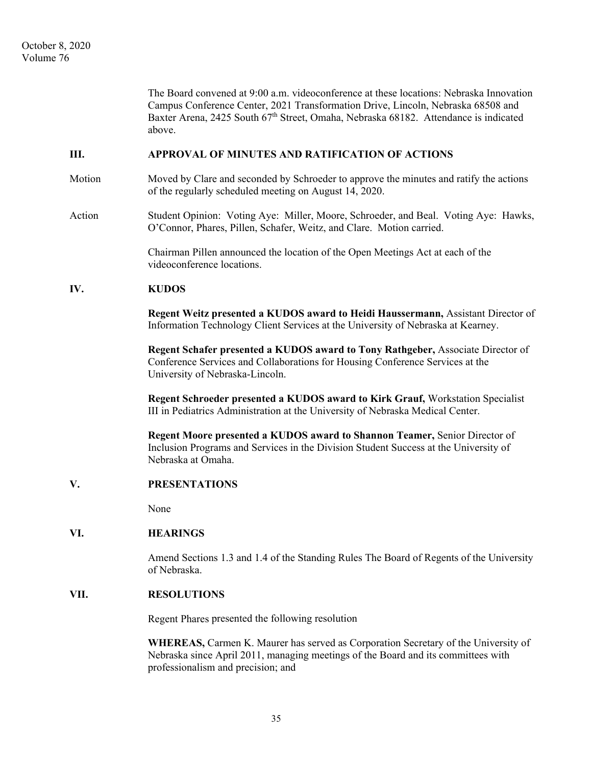|        | The Board convened at 9:00 a.m. videoconference at these locations: Nebraska Innovation<br>Campus Conference Center, 2021 Transformation Drive, Lincoln, Nebraska 68508 and<br>Baxter Arena, 2425 South 67 <sup>th</sup> Street, Omaha, Nebraska 68182. Attendance is indicated<br>above. |
|--------|-------------------------------------------------------------------------------------------------------------------------------------------------------------------------------------------------------------------------------------------------------------------------------------------|
| Ш.     | APPROVAL OF MINUTES AND RATIFICATION OF ACTIONS                                                                                                                                                                                                                                           |
| Motion | Moved by Clare and seconded by Schroeder to approve the minutes and ratify the actions<br>of the regularly scheduled meeting on August 14, 2020.                                                                                                                                          |
| Action | Student Opinion: Voting Aye: Miller, Moore, Schroeder, and Beal. Voting Aye: Hawks,<br>O'Connor, Phares, Pillen, Schafer, Weitz, and Clare. Motion carried.                                                                                                                               |
|        | Chairman Pillen announced the location of the Open Meetings Act at each of the<br>videoconference locations.                                                                                                                                                                              |
| IV.    | <b>KUDOS</b>                                                                                                                                                                                                                                                                              |
|        | Regent Weitz presented a KUDOS award to Heidi Haussermann, Assistant Director of<br>Information Technology Client Services at the University of Nebraska at Kearney.                                                                                                                      |
|        | Regent Schafer presented a KUDOS award to Tony Rathgeber, Associate Director of<br>Conference Services and Collaborations for Housing Conference Services at the<br>University of Nebraska-Lincoln.                                                                                       |
|        | Regent Schroeder presented a KUDOS award to Kirk Grauf, Workstation Specialist<br>III in Pediatrics Administration at the University of Nebraska Medical Center.                                                                                                                          |
|        | Regent Moore presented a KUDOS award to Shannon Teamer, Senior Director of<br>Inclusion Programs and Services in the Division Student Success at the University of<br>Nebraska at Omaha.                                                                                                  |
| V.     | <b>PRESENTATIONS</b>                                                                                                                                                                                                                                                                      |
|        | None                                                                                                                                                                                                                                                                                      |
| VI.    | <b>HEARINGS</b>                                                                                                                                                                                                                                                                           |
|        | Amend Sections 1.3 and 1.4 of the Standing Rules The Board of Regents of the University<br>of Nebraska.                                                                                                                                                                                   |
| VII.   | <b>RESOLUTIONS</b>                                                                                                                                                                                                                                                                        |
|        | Regent Phares presented the following resolution                                                                                                                                                                                                                                          |
|        | WHEREAS, Carmen K. Maurer has served as Corporation Secretary of the University of<br>Nebraska since April 2011, managing meetings of the Board and its committees with<br>professionalism and precision; and                                                                             |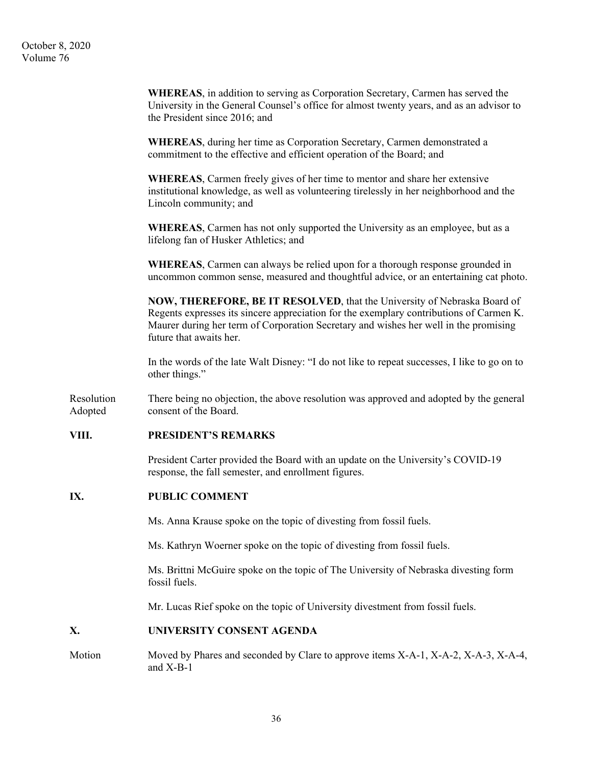October 8, 2020 Volume 76

> **WHEREAS**, in addition to serving as Corporation Secretary, Carmen has served the University in the General Counsel's office for almost twenty years, and as an advisor to the President since 2016; and

**WHEREAS**, during her time as Corporation Secretary, Carmen demonstrated a commitment to the effective and efficient operation of the Board; and

**WHEREAS**, Carmen freely gives of her time to mentor and share her extensive institutional knowledge, as well as volunteering tirelessly in her neighborhood and the Lincoln community; and

**WHEREAS**, Carmen has not only supported the University as an employee, but as a lifelong fan of Husker Athletics; and

**WHEREAS**, Carmen can always be relied upon for a thorough response grounded in uncommon common sense, measured and thoughtful advice, or an entertaining cat photo.

**NOW, THEREFORE, BE IT RESOLVED**, that the University of Nebraska Board of Regents expresses its sincere appreciation for the exemplary contributions of Carmen K. Maurer during her term of Corporation Secretary and wishes her well in the promising future that awaits her.

In the words of the late Walt Disney: "I do not like to repeat successes, I like to go on to other things."

Resolution There being no objection, the above resolution was approved and adopted by the general Adopted consent of the Board.

# **VIII. PRESIDENT'S REMARKS**

President Carter provided the Board with an update on the University's COVID-19 response, the fall semester, and enrollment figures.

### **IX. PUBLIC COMMENT**

Ms. Anna Krause spoke on the topic of divesting from fossil fuels.

Ms. Kathryn Woerner spoke on the topic of divesting from fossil fuels.

Ms. Brittni McGuire spoke on the topic of The University of Nebraska divesting form fossil fuels.

Mr. Lucas Rief spoke on the topic of University divestment from fossil fuels.

### **X. UNIVERSITY CONSENT AGENDA**

Motion Moved by Phares and seconded by Clare to approve items X-A-1, X-A-2, X-A-3, X-A-4, and X-B-1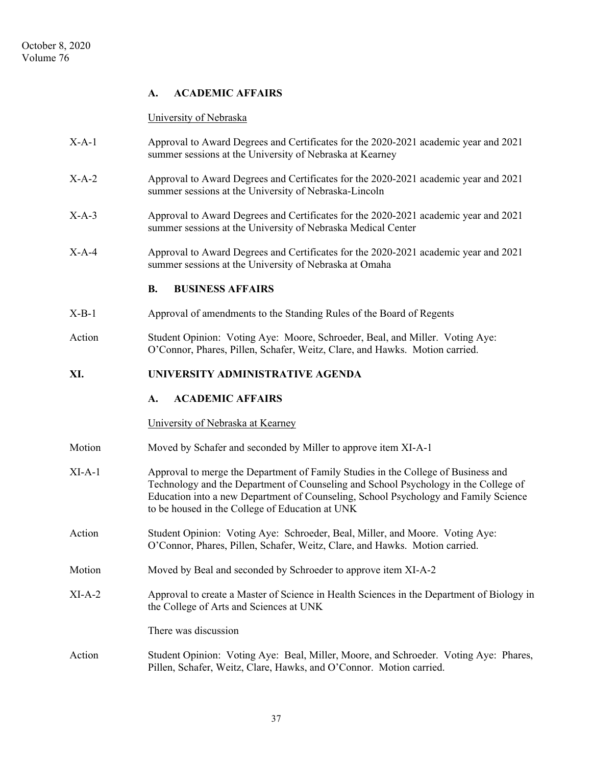# **A. ACADEMIC AFFAIRS**

### University of Nebraska

- X-A-1 Approval to Award Degrees and Certificates for the 2020-2021 academic year and 2021 summer sessions at the University of Nebraska at Kearney
- X-A-2 Approval to Award Degrees and Certificates for the 2020-2021 academic year and 2021 summer sessions at the University of Nebraska-Lincoln
- X-A-3 Approval to Award Degrees and Certificates for the 2020-2021 academic year and 2021 summer sessions at the University of Nebraska Medical Center
- X-A-4 Approval to Award Degrees and Certificates for the 2020-2021 academic year and 2021 summer sessions at the University of Nebraska at Omaha

# **B. BUSINESS AFFAIRS**

- X-B-1 Approval of amendments to the Standing Rules of the Board of Regents
- Action Student Opinion: Voting Aye: Moore, Schroeder, Beal, and Miller. Voting Aye: O'Connor, Phares, Pillen, Schafer, Weitz, Clare, and Hawks. Motion carried.

# **XI. UNIVERSITY ADMINISTRATIVE AGENDA**

# **A. ACADEMIC AFFAIRS**

### University of Nebraska at Kearney

- Motion Moved by Schafer and seconded by Miller to approve item XI-A-1
- XI-A-1 Approval to merge the Department of Family Studies in the College of Business and Technology and the Department of Counseling and School Psychology in the College of Education into a new Department of Counseling, School Psychology and Family Science to be housed in the College of Education at UNK
- Action Student Opinion: Voting Aye: Schroeder, Beal, Miller, and Moore. Voting Aye: O'Connor, Phares, Pillen, Schafer, Weitz, Clare, and Hawks. Motion carried.
- Motion Moved by Beal and seconded by Schroeder to approve item XI-A-2
- XI-A-2 Approval to create a Master of Science in Health Sciences in the Department of Biology in the College of Arts and Sciences at UNK

There was discussion

Action Student Opinion: Voting Aye: Beal, Miller, Moore, and Schroeder. Voting Aye: Phares, Pillen, Schafer, Weitz, Clare, Hawks, and O'Connor. Motion carried.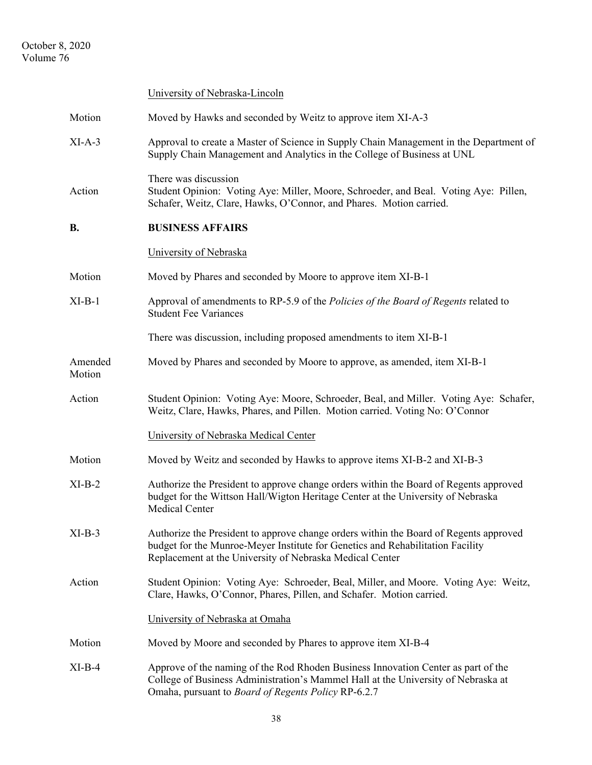October 8, 2020 Volume 76

|                   | University of Nebraska-Lincoln                                                                                                                                                                                                      |
|-------------------|-------------------------------------------------------------------------------------------------------------------------------------------------------------------------------------------------------------------------------------|
| Motion            | Moved by Hawks and seconded by Weitz to approve item XI-A-3                                                                                                                                                                         |
| $XI-A-3$          | Approval to create a Master of Science in Supply Chain Management in the Department of<br>Supply Chain Management and Analytics in the College of Business at UNL                                                                   |
| Action            | There was discussion<br>Student Opinion: Voting Aye: Miller, Moore, Schroeder, and Beal. Voting Aye: Pillen,<br>Schafer, Weitz, Clare, Hawks, O'Connor, and Phares. Motion carried.                                                 |
| <b>B.</b>         | <b>BUSINESS AFFAIRS</b>                                                                                                                                                                                                             |
|                   | University of Nebraska                                                                                                                                                                                                              |
| Motion            | Moved by Phares and seconded by Moore to approve item XI-B-1                                                                                                                                                                        |
| $XI-B-1$          | Approval of amendments to RP-5.9 of the Policies of the Board of Regents related to<br><b>Student Fee Variances</b>                                                                                                                 |
|                   | There was discussion, including proposed amendments to item XI-B-1                                                                                                                                                                  |
| Amended<br>Motion | Moved by Phares and seconded by Moore to approve, as amended, item XI-B-1                                                                                                                                                           |
| Action            | Student Opinion: Voting Aye: Moore, Schroeder, Beal, and Miller. Voting Aye: Schafer,<br>Weitz, Clare, Hawks, Phares, and Pillen. Motion carried. Voting No: O'Connor                                                               |
|                   | University of Nebraska Medical Center                                                                                                                                                                                               |
| Motion            | Moved by Weitz and seconded by Hawks to approve items XI-B-2 and XI-B-3                                                                                                                                                             |
| $XI-B-2$          | Authorize the President to approve change orders within the Board of Regents approved<br>budget for the Wittson Hall/Wigton Heritage Center at the University of Nebraska<br>Medical Center                                         |
| $XI-B-3$          | Authorize the President to approve change orders within the Board of Regents approved<br>budget for the Munroe-Meyer Institute for Genetics and Rehabilitation Facility<br>Replacement at the University of Nebraska Medical Center |
| Action            | Student Opinion: Voting Aye: Schroeder, Beal, Miller, and Moore. Voting Aye: Weitz,<br>Clare, Hawks, O'Connor, Phares, Pillen, and Schafer. Motion carried.                                                                         |
|                   | University of Nebraska at Omaha                                                                                                                                                                                                     |
| Motion            | Moved by Moore and seconded by Phares to approve item XI-B-4                                                                                                                                                                        |
| $XI-B-4$          | Approve of the naming of the Rod Rhoden Business Innovation Center as part of the<br>College of Business Administration's Mammel Hall at the University of Nebraska at<br>Omaha, pursuant to Board of Regents Policy RP-6.2.7       |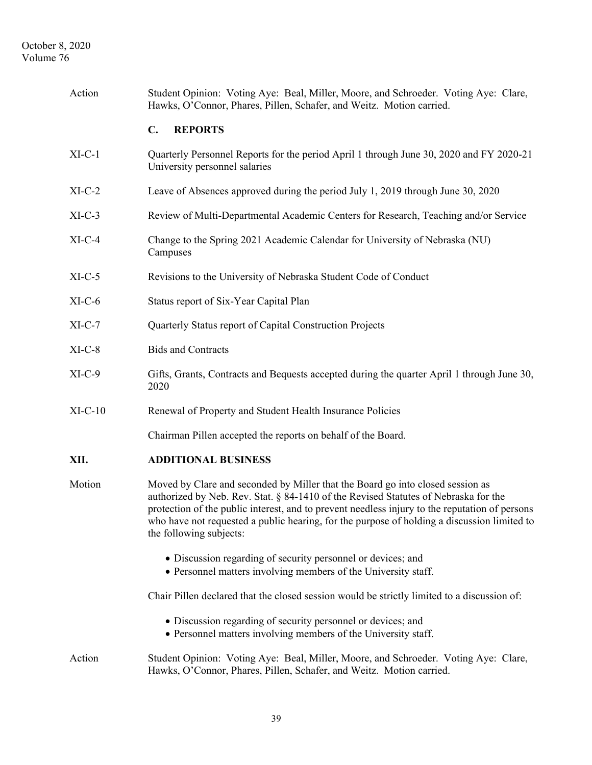| Action    | Student Opinion: Voting Aye: Beal, Miller, Moore, and Schroeder. Voting Aye: Clare,<br>Hawks, O'Connor, Phares, Pillen, Schafer, and Weitz. Motion carried.                                                                                                                                                                                                                                       |
|-----------|---------------------------------------------------------------------------------------------------------------------------------------------------------------------------------------------------------------------------------------------------------------------------------------------------------------------------------------------------------------------------------------------------|
|           | <b>REPORTS</b><br>$\mathbf{C}$ .                                                                                                                                                                                                                                                                                                                                                                  |
| $XI-C-1$  | Quarterly Personnel Reports for the period April 1 through June 30, 2020 and FY 2020-21<br>University personnel salaries                                                                                                                                                                                                                                                                          |
| $XI-C-2$  | Leave of Absences approved during the period July 1, 2019 through June 30, 2020                                                                                                                                                                                                                                                                                                                   |
| $XI-C-3$  | Review of Multi-Departmental Academic Centers for Research, Teaching and/or Service                                                                                                                                                                                                                                                                                                               |
| $XI-C-4$  | Change to the Spring 2021 Academic Calendar for University of Nebraska (NU)<br>Campuses                                                                                                                                                                                                                                                                                                           |
| $XI-C-5$  | Revisions to the University of Nebraska Student Code of Conduct                                                                                                                                                                                                                                                                                                                                   |
| $XI-C-6$  | Status report of Six-Year Capital Plan                                                                                                                                                                                                                                                                                                                                                            |
| $XI-C-7$  | Quarterly Status report of Capital Construction Projects                                                                                                                                                                                                                                                                                                                                          |
| $XI-C-8$  | <b>Bids and Contracts</b>                                                                                                                                                                                                                                                                                                                                                                         |
| $XI-C-9$  | Gifts, Grants, Contracts and Bequests accepted during the quarter April 1 through June 30,<br>2020                                                                                                                                                                                                                                                                                                |
| $XI-C-10$ | Renewal of Property and Student Health Insurance Policies                                                                                                                                                                                                                                                                                                                                         |
|           | Chairman Pillen accepted the reports on behalf of the Board.                                                                                                                                                                                                                                                                                                                                      |
| XII.      | <b>ADDITIONAL BUSINESS</b>                                                                                                                                                                                                                                                                                                                                                                        |
| Motion    | Moved by Clare and seconded by Miller that the Board go into closed session as<br>authorized by Neb. Rev. Stat. § 84-1410 of the Revised Statutes of Nebraska for the<br>protection of the public interest, and to prevent needless injury to the reputation of persons<br>who have not requested a public hearing, for the purpose of holding a discussion limited to<br>the following subjects: |
|           | • Discussion regarding of security personnel or devices; and<br>• Personnel matters involving members of the University staff.                                                                                                                                                                                                                                                                    |
|           | Chair Pillen declared that the closed session would be strictly limited to a discussion of:                                                                                                                                                                                                                                                                                                       |
|           | • Discussion regarding of security personnel or devices; and<br>• Personnel matters involving members of the University staff.                                                                                                                                                                                                                                                                    |
| Action    | Student Opinion: Voting Aye: Beal, Miller, Moore, and Schroeder. Voting Aye: Clare,<br>Hawks, O'Connor, Phares, Pillen, Schafer, and Weitz. Motion carried.                                                                                                                                                                                                                                       |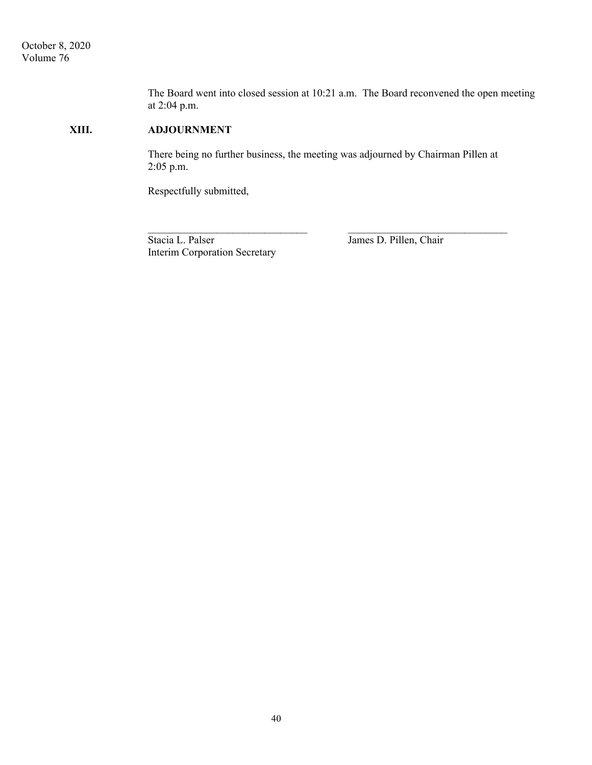The Board went into closed session at 10:21 a.m. The Board reconvened the open meeting at 2:04 p.m.

# **XIII. ADJOURNMENT**

 There being no further business, the meeting was adjourned by Chairman Pillen at 2:05 p.m.

 $\mathcal{L}_\text{max}$  , and the contract of the contract of the contract of the contract of the contract of the contract of the contract of the contract of the contract of the contract of the contract of the contract of the contr

Respectfully submitted,

Stacia L. Palser James D. Pillen, Chair Interim Corporation Secretary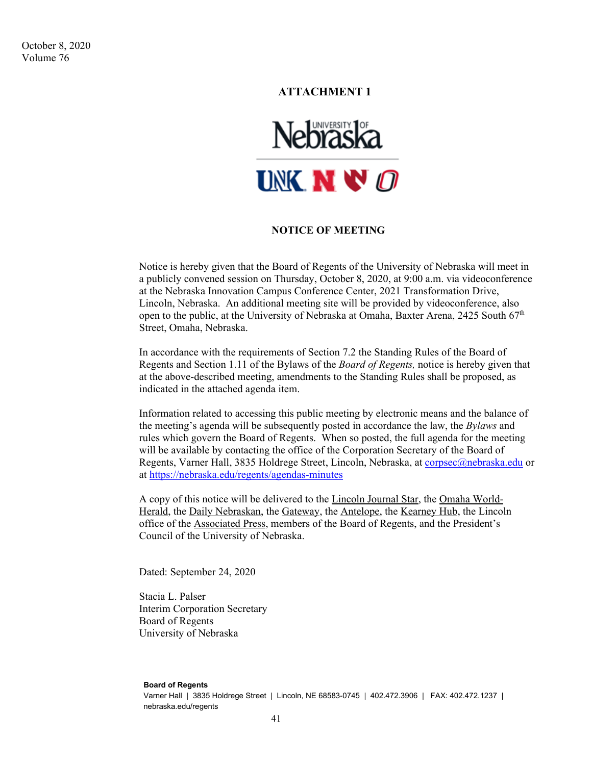October 8, 2020 Volume 76

# **ATTACHMENT 1**



## **NOTICE OF MEETING**

Notice is hereby given that the Board of Regents of the University of Nebraska will meet in a publicly convened session on Thursday, October 8, 2020, at 9:00 a.m. via videoconference at the Nebraska Innovation Campus Conference Center, 2021 Transformation Drive, Lincoln, Nebraska. An additional meeting site will be provided by videoconference, also open to the public, at the University of Nebraska at Omaha, Baxter Arena, 2425 South  $67<sup>th</sup>$ Street, Omaha, Nebraska.

In accordance with the requirements of Section 7.2 the Standing Rules of the Board of Regents and Section 1.11 of the Bylaws of the *Board of Regents,* notice is hereby given that at the above-described meeting, amendments to the Standing Rules shall be proposed, as indicated in the attached agenda item.

Information related to accessing this public meeting by electronic means and the balance of the meeting's agenda will be subsequently posted in accordance the law, the *Bylaws* and rules which govern the Board of Regents. When so posted, the full agenda for the meeting will be available by contacting the office of the Corporation Secretary of the Board of Regents, Varner Hall, 3835 Holdrege Street, Lincoln, Nebraska, at corpsec@nebraska.edu or at https://nebraska.edu/regents/agendas-minutes

A copy of this notice will be delivered to the Lincoln Journal Star, the Omaha World-Herald, the Daily Nebraskan, the Gateway, the Antelope, the Kearney Hub, the Lincoln office of the Associated Press, members of the Board of Regents, and the President's Council of the University of Nebraska.

Dated: September 24, 2020

Stacia L. Palser Interim Corporation Secretary Board of Regents University of Nebraska

#### **Board of Regents**

Varner Hall | 3835 Holdrege Street | Lincoln, NE 68583-0745 | 402.472.3906 | FAX: 402.472.1237 | nebraska.edu/regents